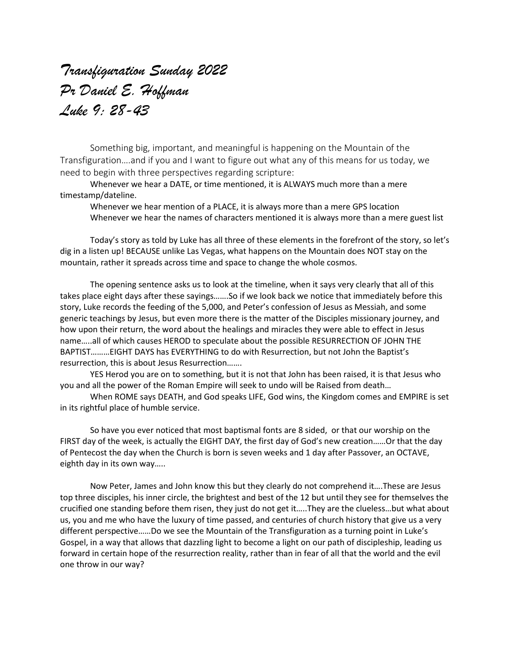## *Transfiguration Sunday 2022 Pr Daniel E. Hoffman Luke 9: 28-43*

Something big, important, and meaningful is happening on the Mountain of the Transfiguration….and if you and I want to figure out what any of this means for us today, we need to begin with three perspectives regarding scripture:

Whenever we hear a DATE, or time mentioned, it is ALWAYS much more than a mere timestamp/dateline.

Whenever we hear mention of a PLACE, it is always more than a mere GPS location Whenever we hear the names of characters mentioned it is always more than a mere guest list

Today's story as told by Luke has all three of these elements in the forefront of the story, so let's dig in a listen up! BECAUSE unlike Las Vegas, what happens on the Mountain does NOT stay on the mountain, rather it spreads across time and space to change the whole cosmos.

The opening sentence asks us to look at the timeline, when it says very clearly that all of this takes place eight days after these sayings…….So if we look back we notice that immediately before this story, Luke records the feeding of the 5,000, and Peter's confession of Jesus as Messiah, and some generic teachings by Jesus, but even more there is the matter of the Disciples missionary journey, and how upon their return, the word about the healings and miracles they were able to effect in Jesus name…..all of which causes HEROD to speculate about the possible RESURRECTION OF JOHN THE BAPTIST………EIGHT DAYS has EVERYTHING to do with Resurrection, but not John the Baptist's resurrection, this is about Jesus Resurrection…….

YES Herod you are on to something, but it is not that John has been raised, it is that Jesus who you and all the power of the Roman Empire will seek to undo will be Raised from death…

When ROME says DEATH, and God speaks LIFE, God wins, the Kingdom comes and EMPIRE is set in its rightful place of humble service.

So have you ever noticed that most baptismal fonts are 8 sided, or that our worship on the FIRST day of the week, is actually the EIGHT DAY, the first day of God's new creation……Or that the day of Pentecost the day when the Church is born is seven weeks and 1 day after Passover, an OCTAVE, eighth day in its own way…..

Now Peter, James and John know this but they clearly do not comprehend it….These are Jesus top three disciples, his inner circle, the brightest and best of the 12 but until they see for themselves the crucified one standing before them risen, they just do not get it…..They are the clueless…but what about us, you and me who have the luxury of time passed, and centuries of church history that give us a very different perspective……Do we see the Mountain of the Transfiguration as a turning point in Luke's Gospel, in a way that allows that dazzling light to become a light on our path of discipleship, leading us forward in certain hope of the resurrection reality, rather than in fear of all that the world and the evil one throw in our way?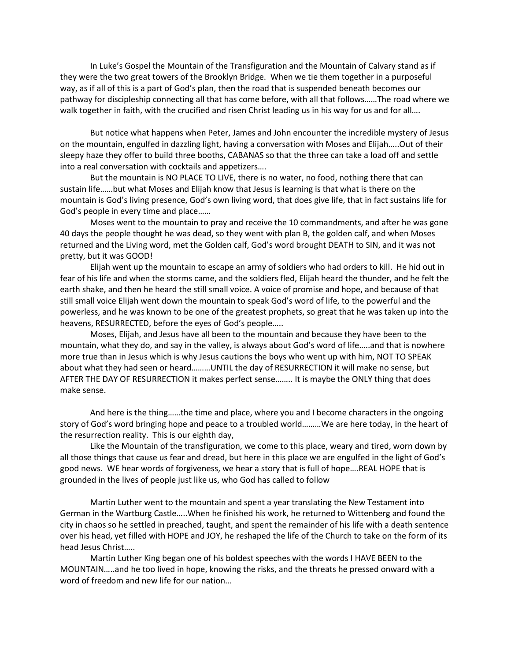In Luke's Gospel the Mountain of the Transfiguration and the Mountain of Calvary stand as if they were the two great towers of the Brooklyn Bridge. When we tie them together in a purposeful way, as if all of this is a part of God's plan, then the road that is suspended beneath becomes our pathway for discipleship connecting all that has come before, with all that follows……The road where we walk together in faith, with the crucified and risen Christ leading us in his way for us and for all....

But notice what happens when Peter, James and John encounter the incredible mystery of Jesus on the mountain, engulfed in dazzling light, having a conversation with Moses and Elijah…..Out of their sleepy haze they offer to build three booths, CABANAS so that the three can take a load off and settle into a real conversation with cocktails and appetizers….

But the mountain is NO PLACE TO LIVE, there is no water, no food, nothing there that can sustain life……but what Moses and Elijah know that Jesus is learning is that what is there on the mountain is God's living presence, God's own living word, that does give life, that in fact sustains life for God's people in every time and place……

Moses went to the mountain to pray and receive the 10 commandments, and after he was gone 40 days the people thought he was dead, so they went with plan B, the golden calf, and when Moses returned and the Living word, met the Golden calf, God's word brought DEATH to SIN, and it was not pretty, but it was GOOD!

Elijah went up the mountain to escape an army of soldiers who had orders to kill. He hid out in fear of his life and when the storms came, and the soldiers fled, Elijah heard the thunder, and he felt the earth shake, and then he heard the still small voice. A voice of promise and hope, and because of that still small voice Elijah went down the mountain to speak God's word of life, to the powerful and the powerless, and he was known to be one of the greatest prophets, so great that he was taken up into the heavens, RESURRECTED, before the eyes of God's people…..

Moses, Elijah, and Jesus have all been to the mountain and because they have been to the mountain, what they do, and say in the valley, is always about God's word of life…..and that is nowhere more true than in Jesus which is why Jesus cautions the boys who went up with him, NOT TO SPEAK about what they had seen or heard………UNTIL the day of RESURRECTION it will make no sense, but AFTER THE DAY OF RESURRECTION it makes perfect sense…….. It is maybe the ONLY thing that does make sense.

And here is the thing……the time and place, where you and I become characters in the ongoing story of God's word bringing hope and peace to a troubled world………We are here today, in the heart of the resurrection reality. This is our eighth day,

Like the Mountain of the transfiguration, we come to this place, weary and tired, worn down by all those things that cause us fear and dread, but here in this place we are engulfed in the light of God's good news. WE hear words of forgiveness, we hear a story that is full of hope….REAL HOPE that is grounded in the lives of people just like us, who God has called to follow

Martin Luther went to the mountain and spent a year translating the New Testament into German in the Wartburg Castle…..When he finished his work, he returned to Wittenberg and found the city in chaos so he settled in preached, taught, and spent the remainder of his life with a death sentence over his head, yet filled with HOPE and JOY, he reshaped the life of the Church to take on the form of its head Jesus Christ…..

Martin Luther King began one of his boldest speeches with the words I HAVE BEEN to the MOUNTAIN…..and he too lived in hope, knowing the risks, and the threats he pressed onward with a word of freedom and new life for our nation…